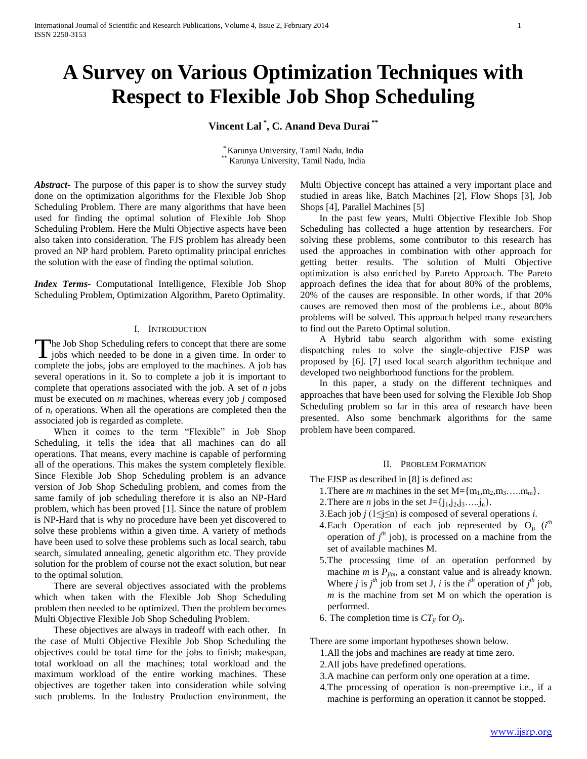# **A Survey on Various Optimization Techniques with Respect to Flexible Job Shop Scheduling**

## **Vincent Lal \* , C. Anand Deva Durai \*\***

\* Karunya University, Tamil Nadu, India Karunya University, Tamil Nadu, India

*Abstract***-** The purpose of this paper is to show the survey study done on the optimization algorithms for the Flexible Job Shop Scheduling Problem. There are many algorithms that have been used for finding the optimal solution of Flexible Job Shop Scheduling Problem. Here the Multi Objective aspects have been also taken into consideration. The FJS problem has already been proved an NP hard problem. Pareto optimality principal enriches the solution with the ease of finding the optimal solution.

*Index Terms*- Computational Intelligence, Flexible Job Shop Scheduling Problem, Optimization Algorithm, Pareto Optimality.

#### I. INTRODUCTION

The Job Shop Scheduling refers to concept that there are some The Job Shop Scheduling refers to concept that there are some jobs which needed to be done in a given time. In order to complete the jobs, jobs are employed to the machines. A job has several operations in it. So to complete a job it is important to complete that operations associated with the job. A set of *n* jobs must be executed on *m* machines, whereas every job *j* composed of  $n_i$  operations. When all the operations are completed then the associated job is regarded as complete.

 When it comes to the term "Flexible" in Job Shop Scheduling, it tells the idea that all machines can do all operations. That means, every machine is capable of performing all of the operations. This makes the system completely flexible. Since Flexible Job Shop Scheduling problem is an advance version of Job Shop Scheduling problem, and comes from the same family of job scheduling therefore it is also an NP-Hard problem, which has been proved [1]. Since the nature of problem is NP-Hard that is why no procedure have been yet discovered to solve these problems within a given time. A variety of methods have been used to solve these problems such as local search, tabu search, simulated annealing, genetic algorithm etc. They provide solution for the problem of course not the exact solution, but near to the optimal solution.

 There are several objectives associated with the problems which when taken with the Flexible Job Shop Scheduling problem then needed to be optimized. Then the problem becomes Multi Objective Flexible Job Shop Scheduling Problem.

 These objectives are always in tradeoff with each other. In the case of Multi Objective Flexible Job Shop Scheduling the objectives could be total time for the jobs to finish; makespan, total workload on all the machines; total workload and the maximum workload of the entire working machines. These objectives are together taken into consideration while solving such problems. In the Industry Production environment, the Multi Objective concept has attained a very important place and studied in areas like, Batch Machines [2], Flow Shops [3], Job Shops [4], Parallel Machines [5]

 In the past few years, Multi Objective Flexible Job Shop Scheduling has collected a huge attention by researchers. For solving these problems, some contributor to this research has used the approaches in combination with other approach for getting better results. The solution of Multi Objective optimization is also enriched by Pareto Approach. The Pareto approach defines the idea that for about 80% of the problems, 20% of the causes are responsible. In other words, if that 20% causes are removed then most of the problems i.e., about 80% problems will be solved. This approach helped many researchers to find out the Pareto Optimal solution.

 A Hybrid tabu search algorithm with some existing dispatching rules to solve the single-objective FJSP was proposed by [6]. [7] used local search algorithm technique and developed two neighborhood functions for the problem.

 In this paper, a study on the different techniques and approaches that have been used for solving the Flexible Job Shop Scheduling problem so far in this area of research have been presented. Also some benchmark algorithms for the same problem have been compared.

#### II. PROBLEM FORMATION

The FJSP as described in [8] is defined as:

- 1. There are *m* machines in the set  $M = \{m_1, m_2, m_3, \ldots, m_m\}.$
- 2. There are *n* jobs in the set  $J = \{j_1, j_2, j_3, \ldots, j_n\}$ .
- 3.Each job *j* (1≤j≤n) is composed of several operations *i*.
- 4.Each Operation of each job represented by  $O_{ji}$  (*i*<sup>th</sup> operation of  $j<sup>th</sup>$  job), is processed on a machine from the set of available machines M.
- 5.The processing time of an operation performed by machine *m* is  $P_{jim}$ , a constant value and is already known. Where *j* is  $j^{\text{th}}$  job from set J, *i* is the  $i^{\text{th}}$  operation of  $j^{\text{th}}$  job, *m* is the machine from set M on which the operation is performed.
- 6. The completion time is  $CT_{ii}$  for  $O_{ii}$ .

There are some important hypotheses shown below.

- 1.All the jobs and machines are ready at time zero.
- 2.All jobs have predefined operations.
- 3.A machine can perform only one operation at a time.
- 4.The processing of operation is non-preemptive i.e., if a machine is performing an operation it cannot be stopped.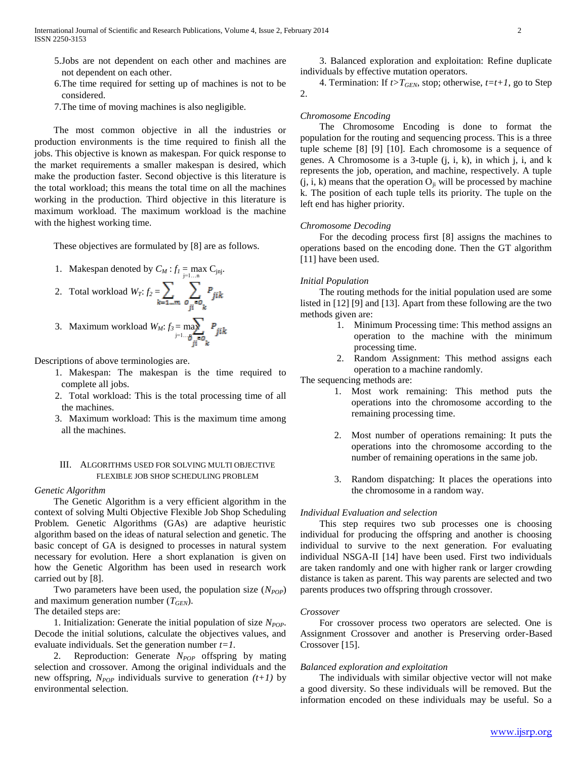- 5.Jobs are not dependent on each other and machines are not dependent on each other.
- 6.The time required for setting up of machines is not to be considered.
- 7.The time of moving machines is also negligible.

 The most common objective in all the industries or production environments is the time required to finish all the jobs. This objective is known as makespan. For quick response to the market requirements a smaller makespan is desired, which make the production faster. Second objective is this literature is the total workload; this means the total time on all the machines working in the production. Third objective in this literature is maximum workload. The maximum workload is the machine with the highest working time.

These objectives are formulated by [8] are as follows.

1. Makespan denoted by  $C_M : f_I = \max_{j=1...n} C_{jnj}$ .

2. Total workload 
$$
W_T
$$
:  $f_2 = \sum_{k=1...m} \sum_{o_{ji} = o_k} P_{jik}$ 

3. Maximum workload 
$$
W_M
$$
:  $f_3 = \max_{j=1...} P_{ji} k$ 

Descriptions of above terminologies are.

- 1. Makespan: The makespan is the time required to complete all jobs.
- 2. Total workload: This is the total processing time of all the machines.
- 3. Maximum workload: This is the maximum time among all the machines.

#### III. ALGORITHMS USED FOR SOLVING MULTI OBJECTIVE FLEXIBLE JOB SHOP SCHEDULING PROBLEM

#### *Genetic Algorithm*

 The Genetic Algorithm is a very efficient algorithm in the context of solving Multi Objective Flexible Job Shop Scheduling Problem. Genetic Algorithms (GAs) are adaptive heuristic algorithm based on the ideas of natural selection and genetic. The basic concept of GA is designed to processes in natural system necessary for evolution. Here a short explanation is given on how the Genetic Algorithm has been used in research work carried out by [8].

Two parameters have been used, the population size ( $N_{POP}$ ) and maximum generation number (*TGEN*).

The detailed steps are:

1. Initialization: Generate the initial population of size  $N_{POP}$ . Decode the initial solutions, calculate the objectives values, and evaluate individuals. Set the generation number *t=1.*

 2. Reproduction: Generate *NPOP* offspring by mating selection and crossover. Among the original individuals and the new offspring,  $N_{POP}$  individuals survive to generation  $(t+1)$  by environmental selection.

 3. Balanced exploration and exploitation: Refine duplicate individuals by effective mutation operators.

4. Termination: If  $t>T<sub>GEN</sub>$ , stop; otherwise,  $t=t+1$ , go to Step 2.

#### *Chromosome Encoding*

 The Chromosome Encoding is done to format the population for the routing and sequencing process. This is a three tuple scheme [8] [9] [10]. Each chromosome is a sequence of genes. A Chromosome is a 3-tuple (j, i, k), in which j, i, and k represents the job, operation, and machine, respectively. A tuple  $(j, i, k)$  means that the operation  $O_{ji}$  will be processed by machine k. The position of each tuple tells its priority. The tuple on the left end has higher priority.

#### *Chromosome Decoding*

 For the decoding process first [8] assigns the machines to operations based on the encoding done. Then the GT algorithm [11] have been used.

#### *Initial Population*

 The routing methods for the initial population used are some listed in [12] [9] and [13]. Apart from these following are the two methods given are:

- 1. Minimum Processing time: This method assigns an operation to the machine with the minimum processing time.
- 2. Random Assignment: This method assigns each operation to a machine randomly.

The sequencing methods are:

- 1. Most work remaining: This method puts the operations into the chromosome according to the remaining processing time.
- 2. Most number of operations remaining: It puts the operations into the chromosome according to the number of remaining operations in the same job.
- 3. Random dispatching: It places the operations into the chromosome in a random way.

#### *Individual Evaluation and selection*

 This step requires two sub processes one is choosing individual for producing the offspring and another is choosing individual to survive to the next generation. For evaluating individual NSGA-II [14] have been used. First two individuals are taken randomly and one with higher rank or larger crowding distance is taken as parent. This way parents are selected and two parents produces two offspring through crossover.

#### *Crossover*

 For crossover process two operators are selected. One is Assignment Crossover and another is Preserving order-Based Crossover [15].

#### *Balanced exploration and exploitation*

 The individuals with similar objective vector will not make a good diversity. So these individuals will be removed. But the information encoded on these individuals may be useful. So a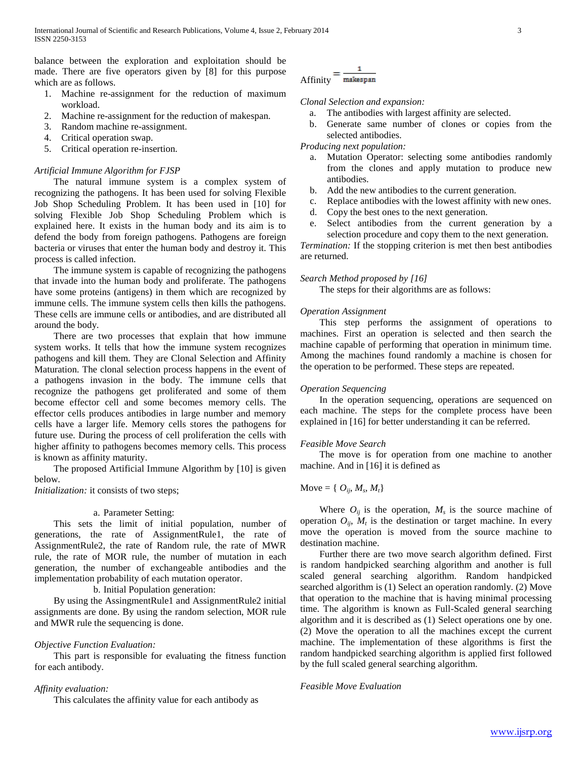balance between the exploration and exploitation should be made. There are five operators given by [8] for this purpose which are as follows.

- 1. Machine re-assignment for the reduction of maximum workload.
- 2. Machine re-assignment for the reduction of makespan.
- 3. Random machine re-assignment.
- 4. Critical operation swap.
- 5. Critical operation re-insertion.

## *Artificial Immune Algorithm for FJSP*

 The natural immune system is a complex system of recognizing the pathogens. It has been used for solving Flexible Job Shop Scheduling Problem. It has been used in [10] for solving Flexible Job Shop Scheduling Problem which is explained here. It exists in the human body and its aim is to defend the body from foreign pathogens. Pathogens are foreign bacteria or viruses that enter the human body and destroy it. This process is called infection.

 The immune system is capable of recognizing the pathogens that invade into the human body and proliferate. The pathogens have some proteins (antigens) in them which are recognized by immune cells. The immune system cells then kills the pathogens. These cells are immune cells or antibodies, and are distributed all around the body.

 There are two processes that explain that how immune system works. It tells that how the immune system recognizes pathogens and kill them. They are Clonal Selection and Affinity Maturation. The clonal selection process happens in the event of a pathogens invasion in the body. The immune cells that recognize the pathogens get proliferated and some of them become effector cell and some becomes memory cells. The effector cells produces antibodies in large number and memory cells have a larger life. Memory cells stores the pathogens for future use. During the process of cell proliferation the cells with higher affinity to pathogens becomes memory cells. This process is known as affinity maturity.

 The proposed Artificial Immune Algorithm by [10] is given below.

*Initialization:* it consists of two steps;

#### a. Parameter Setting:

 This sets the limit of initial population, number of generations, the rate of AssignmentRule1, the rate of AssignmentRule2, the rate of Random rule, the rate of MWR rule, the rate of MOR rule, the number of mutation in each generation, the number of exchangeable antibodies and the implementation probability of each mutation operator.

b. Initial Population generation:

 By using the AssingmentRule1 and AssignmentRule2 initial assignments are done. By using the random selection, MOR rule and MWR rule the sequencing is done.

## *Objective Function Evaluation:*

 This part is responsible for evaluating the fitness function for each antibody.

#### *Affinity evaluation:*

This calculates the affinity value for each antibody as

## $A$ ffinity  $=$   $\frac{1}{\text{makespan}}$

## *Clonal Selection and expansion:*

- a. The antibodies with largest affinity are selected.
- b. Generate same number of clones or copies from the selected antibodies.

*Producing next population:*

- a. Mutation Operator: selecting some antibodies randomly from the clones and apply mutation to produce new antibodies.
- b. Add the new antibodies to the current generation.
- c. Replace antibodies with the lowest affinity with new ones.
- d. Copy the best ones to the next generation.
- e. Select antibodies from the current generation by a selection procedure and copy them to the next generation.

*Termination:* If the stopping criterion is met then best antibodies are returned.

#### *Search Method proposed by [16]*

The steps for their algorithms are as follows:

#### *Operation Assignment*

 This step performs the assignment of operations to machines. First an operation is selected and then search the machine capable of performing that operation in minimum time. Among the machines found randomly a machine is chosen for the operation to be performed. These steps are repeated.

#### *Operation Sequencing*

 In the operation sequencing, operations are sequenced on each machine. The steps for the complete process have been explained in [16] for better understanding it can be referred.

## *Feasible Move Search*

 The move is for operation from one machine to another machine. And in [16] it is defined as

## $Move = \{ O_{ij}, M_s, M_t \}$

Where  $O_{ij}$  is the operation,  $M_s$  is the source machine of operation  $O_{ij}$ ,  $M_t$  is the destination or target machine. In every move the operation is moved from the source machine to destination machine.

 Further there are two move search algorithm defined. First is random handpicked searching algorithm and another is full scaled general searching algorithm. Random handpicked searched algorithm is (1) Select an operation randomly. (2) Move that operation to the machine that is having minimal processing time. The algorithm is known as Full-Scaled general searching algorithm and it is described as (1) Select operations one by one. (2) Move the operation to all the machines except the current machine. The implementation of these algorithms is first the random handpicked searching algorithm is applied first followed by the full scaled general searching algorithm.

#### *Feasible Move Evaluation*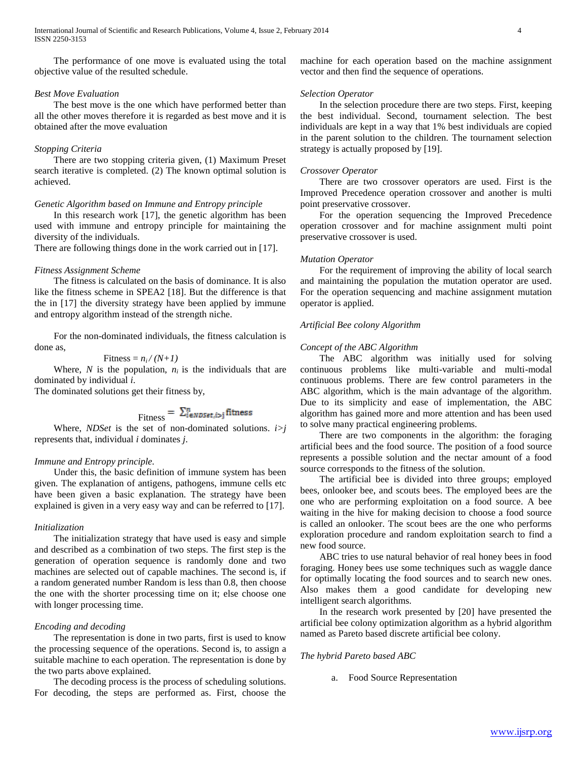The performance of one move is evaluated using the total objective value of the resulted schedule.

## *Best Move Evaluation*

 The best move is the one which have performed better than all the other moves therefore it is regarded as best move and it is obtained after the move evaluation

#### *Stopping Criteria*

 There are two stopping criteria given, (1) Maximum Preset search iterative is completed. (2) The known optimal solution is achieved.

#### *Genetic Algorithm based on Immune and Entropy principle*

 In this research work [17], the genetic algorithm has been used with immune and entropy principle for maintaining the diversity of the individuals.

There are following things done in the work carried out in [17].

#### *Fitness Assignment Scheme*

 The fitness is calculated on the basis of dominance. It is also like the fitness scheme in SPEA2 [18]. But the difference is that the in [17] the diversity strategy have been applied by immune and entropy algorithm instead of the strength niche.

 For the non-dominated individuals, the fitness calculation is done as,

$$
Fitness = n_i/(N+1)
$$

Where,  $N$  is the population,  $n_i$  is the individuals that are dominated by individual *i*.

The dominated solutions get their fitness by,

$$
Fitness = \sum_{i \in NDSet, i>j}^{n} fitness
$$

 Where, *NDSet* is the set of non-dominated solutions. *i>j* represents that, individual *i* dominates *j*.

#### *Immune and Entropy principle.*

 Under this, the basic definition of immune system has been given. The explanation of antigens, pathogens, immune cells etc have been given a basic explanation. The strategy have been explained is given in a very easy way and can be referred to [17].

#### *Initialization*

 The initialization strategy that have used is easy and simple and described as a combination of two steps. The first step is the generation of operation sequence is randomly done and two machines are selected out of capable machines. The second is, if a random generated number Random is less than 0.8, then choose the one with the shorter processing time on it; else choose one with longer processing time.

#### *Encoding and decoding*

 The representation is done in two parts, first is used to know the processing sequence of the operations. Second is, to assign a suitable machine to each operation. The representation is done by the two parts above explained.

 The decoding process is the process of scheduling solutions. For decoding, the steps are performed as. First, choose the

machine for each operation based on the machine assignment vector and then find the sequence of operations.

#### *Selection Operator*

 In the selection procedure there are two steps. First, keeping the best individual. Second, tournament selection. The best individuals are kept in a way that 1% best individuals are copied in the parent solution to the children. The tournament selection strategy is actually proposed by [19].

## *Crossover Operator*

 There are two crossover operators are used. First is the Improved Precedence operation crossover and another is multi point preservative crossover.

 For the operation sequencing the Improved Precedence operation crossover and for machine assignment multi point preservative crossover is used.

#### *Mutation Operator*

 For the requirement of improving the ability of local search and maintaining the population the mutation operator are used. For the operation sequencing and machine assignment mutation operator is applied.

#### *Artificial Bee colony Algorithm*

#### *Concept of the ABC Algorithm*

 The ABC algorithm was initially used for solving continuous problems like multi-variable and multi-modal continuous problems. There are few control parameters in the ABC algorithm, which is the main advantage of the algorithm. Due to its simplicity and ease of implementation, the ABC algorithm has gained more and more attention and has been used to solve many practical engineering problems.

 There are two components in the algorithm: the foraging artificial bees and the food source. The position of a food source represents a possible solution and the nectar amount of a food source corresponds to the fitness of the solution.

 The artificial bee is divided into three groups; employed bees, onlooker bee, and scouts bees. The employed bees are the one who are performing exploitation on a food source. A bee waiting in the hive for making decision to choose a food source is called an onlooker. The scout bees are the one who performs exploration procedure and random exploitation search to find a new food source.

 ABC tries to use natural behavior of real honey bees in food foraging. Honey bees use some techniques such as waggle dance for optimally locating the food sources and to search new ones. Also makes them a good candidate for developing new intelligent search algorithms.

 In the research work presented by [20] have presented the artificial bee colony optimization algorithm as a hybrid algorithm named as Pareto based discrete artificial bee colony.

#### *The hybrid Pareto based ABC*

a. Food Source Representation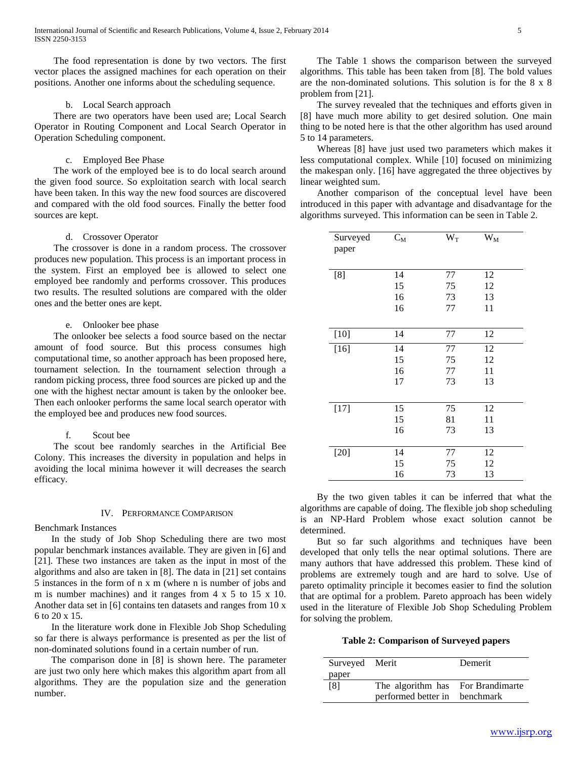The food representation is done by two vectors. The first vector places the assigned machines for each operation on their positions. Another one informs about the scheduling sequence.

## b. Local Search approach

 There are two operators have been used are; Local Search Operator in Routing Component and Local Search Operator in Operation Scheduling component.

#### c. Employed Bee Phase

 The work of the employed bee is to do local search around the given food source. So exploitation search with local search have been taken. In this way the new food sources are discovered and compared with the old food sources. Finally the better food sources are kept.

#### d. Crossover Operator

 The crossover is done in a random process. The crossover produces new population. This process is an important process in the system. First an employed bee is allowed to select one employed bee randomly and performs crossover. This produces two results. The resulted solutions are compared with the older ones and the better ones are kept.

#### e. Onlooker bee phase

 The onlooker bee selects a food source based on the nectar amount of food source. But this process consumes high computational time, so another approach has been proposed here, tournament selection. In the tournament selection through a random picking process, three food sources are picked up and the one with the highest nectar amount is taken by the onlooker bee. Then each onlooker performs the same local search operator with the employed bee and produces new food sources.

#### f. Scout bee

 The scout bee randomly searches in the Artificial Bee Colony. This increases the diversity in population and helps in avoiding the local minima however it will decreases the search efficacy.

#### IV. PERFORMANCE COMPARISON

#### Benchmark Instances

 In the study of Job Shop Scheduling there are two most popular benchmark instances available. They are given in [6] and [21]. These two instances are taken as the input in most of the algorithms and also are taken in [8]. The data in [21] set contains 5 instances in the form of n x m (where n is number of jobs and m is number machines) and it ranges from 4 x 5 to 15 x 10. Another data set in [6] contains ten datasets and ranges from 10 x 6 to 20 x 15.

 In the literature work done in Flexible Job Shop Scheduling so far there is always performance is presented as per the list of non-dominated solutions found in a certain number of run.

 The comparison done in [8] is shown here. The parameter are just two only here which makes this algorithm apart from all algorithms. They are the population size and the generation number.

 The Table 1 shows the comparison between the surveyed algorithms. This table has been taken from [8]. The bold values are the non-dominated solutions. This solution is for the 8 x 8 problem from [21].

 The survey revealed that the techniques and efforts given in [8] have much more ability to get desired solution. One main thing to be noted here is that the other algorithm has used around 5 to 14 parameters.

 Whereas [8] have just used two parameters which makes it less computational complex. While [10] focused on minimizing the makespan only. [16] have aggregated the three objectives by linear weighted sum.

 Another comparison of the conceptual level have been introduced in this paper with advantage and disadvantage for the algorithms surveyed. This information can be seen in Table 2.

| Surveyed<br>paper | $C_M$ | $\bar{W}_T$ | $W_M$ |
|-------------------|-------|-------------|-------|
| [8]               | 14    | 77          | 12    |
|                   | 15    | 75          | 12    |
|                   | 16    | 73          | 13    |
|                   | 16    | 77          | 11    |
|                   |       |             |       |
| $[10]$            | 14    | 77          | 12    |
| $[16]$            | 14    | 77          | 12    |
|                   | 15    | 75          | 12    |
|                   | 16    | 77          | 11    |
|                   | 17    | 73          | 13    |
|                   |       |             |       |
| $[17]$            | 15    | 75          | 12    |
|                   | 15    | 81          | 11    |
|                   | 16    | 73          | 13    |
| $[20]$            | 14    | 77          | 12    |
|                   | 15    | 75          | 12    |
|                   | 16    | 73          | 13    |

 By the two given tables it can be inferred that what the algorithms are capable of doing. The flexible job shop scheduling is an NP-Hard Problem whose exact solution cannot be determined.

 But so far such algorithms and techniques have been developed that only tells the near optimal solutions. There are many authors that have addressed this problem. These kind of problems are extremely tough and are hard to solve. Use of pareto optimality principle it becomes easier to find the solution that are optimal for a problem. Pareto approach has been widely used in the literature of Flexible Job Shop Scheduling Problem for solving the problem.

#### **Table 2: Comparison of Surveyed papers**

| Surveyed Merit |                                   | Demerit |
|----------------|-----------------------------------|---------|
| paper          |                                   |         |
| [8]            | The algorithm has For Brandimarte |         |
|                | performed better in benchmark     |         |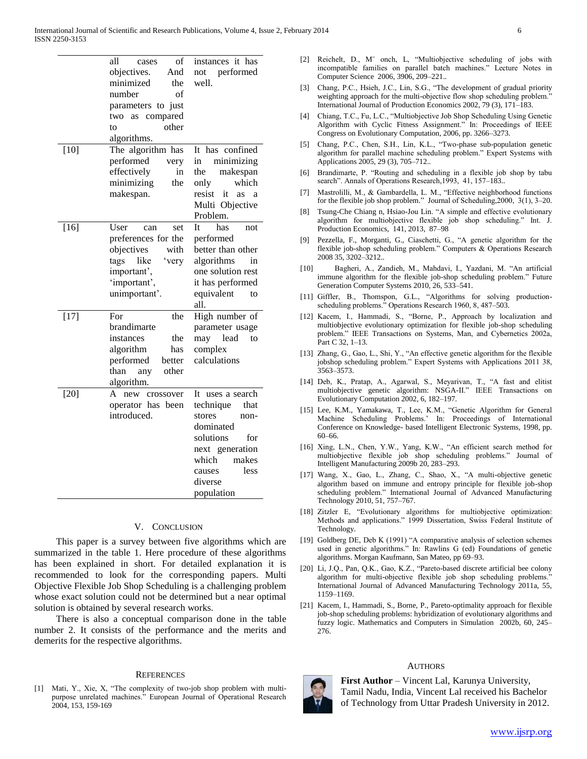|        | all<br>of<br>cases                     | instances it has                      |
|--------|----------------------------------------|---------------------------------------|
|        | objectives.<br>And<br>minimized<br>the | not performed<br>well.                |
|        | number<br>of                           |                                       |
|        | parameters to just                     |                                       |
|        | compared<br>two as                     |                                       |
|        | other<br>to                            |                                       |
|        | algorithms.                            |                                       |
| $[10]$ | The algorithm has                      | It has confined                       |
|        | performed<br>very                      | minimizing<br>in                      |
|        | effectively<br>in                      | the<br>makespan                       |
|        | minimizing<br>the                      | which<br>only                         |
|        | makespan.                              | resist<br>it as<br>a                  |
|        |                                        | Multi Objective                       |
|        |                                        | Problem.                              |
| $[16]$ | User<br>set<br>can                     | Īt<br>has<br>not                      |
|        | preferences for the                    | performed                             |
|        | objectives<br>with                     | better than other                     |
|        | like<br>tags<br>'very                  | algorithms<br>in                      |
|        | important',                            | one solution rest                     |
|        | 'important',                           | it has performed                      |
|        | unimportant'.                          | equivalent<br>to                      |
|        |                                        | all.                                  |
| $[17]$ | For<br>the                             | High number of                        |
|        | brandimarte                            | parameter usage                       |
|        | instances<br>the                       | lead<br>may<br>to                     |
|        | algorithm<br>has                       | complex                               |
|        | performed<br>better                    | calculations                          |
|        | other<br>than<br>any                   |                                       |
|        | algorithm.<br>A                        |                                       |
| $[20]$ | new crossover<br>operator has been     | It uses a search<br>technique<br>that |
|        | introduced.                            | stores<br>non-                        |
|        |                                        | dominated                             |
|        |                                        | solutions<br>for                      |
|        |                                        | next generation                       |
|        |                                        | which<br>makes                        |
|        |                                        | less<br>causes                        |
|        |                                        | diverse                               |
|        |                                        | population                            |
|        |                                        |                                       |

#### V. CONCLUSION

 This paper is a survey between five algorithms which are summarized in the table 1. Here procedure of these algorithms has been explained in short. For detailed explanation it is recommended to look for the corresponding papers. Multi Objective Flexible Job Shop Scheduling is a challenging problem whose exact solution could not be determined but a near optimal solution is obtained by several research works.

 There is also a conceptual comparison done in the table number 2. It consists of the performance and the merits and demerits for the respective algorithms.

#### **REFERENCES**

[1] Mati, Y., Xie, X, "The complexity of two-job shop problem with multipurpose unrelated machines." European Journal of Operational Research 2004, 153, 159-169

- [2] Reichelt, D., M<sup>o</sup> onch, L, "Multiobjective scheduling of jobs with incompatible families on parallel batch machines." Lecture Notes in Computer Science 2006, 3906, 209–221..
- [3] Chang, P.C., Hsieh, J.C., Lin, S.G., "The development of gradual priority weighting approach for the multi-objective flow shop scheduling problem.' International Journal of Production Economics 2002, 79 (3), 171–183.
- [4] Chiang, T.C., Fu, L.C., "Multiobjective Job Shop Scheduling Using Genetic Algorithm with Cyclic Fitness Assignment." In: Proceedings of IEEE Congress on Evolutionary Computation, 2006, pp. 3266–3273.
- [5] Chang, P.C., Chen, S.H., Lin, K.L., "Two-phase sub-population genetic algorithm for parallel machine scheduling problem." Expert Systems with Applications 2005, 29 (3), 705–712..
- [6] Brandimarte, P. "Routing and scheduling in a flexible job shop by tabu search". Annals of Operations Research, 1993, 41, 157-183..
- [7] Mastrolilli, M., & Gambardella, L. M., "Effective neighborhood functions for the flexible job shop problem." Journal of Scheduling,2000, 3(1), 3–20.
- [8] Tsung-Che Chiang n, Hsiao-Jou Lin. "A simple and effective evolutionary algorithm for multiobjective flexible job shop scheduling." Int. J. Production Economics, 141, 2013, 87–98
- [9] Pezzella, F., Morganti, G., Ciaschetti, G., "A genetic algorithm for the flexible job-shop scheduling problem." Computers & Operations Research 2008 35, 3202–3212..
- [10] Bagheri, A., Zandieh, M., Mahdavi, I., Yazdani, M. "An artificial immune algorithm for the flexible job-shop scheduling problem." Future Generation Computer Systems 2010, 26, 533–541.
- [11] Giffler, B., Thomspon, G.L., "Algorithms for solving productionscheduling problems." Operations Research 1960, 8, 487–503.
- [12] Kacem, I., Hammadi, S., "Borne, P., Approach by localization and multiobjective evolutionary optimization for flexible job-shop scheduling problem." IEEE Transactions on Systems, Man, and Cybernetics 2002a, Part C 32, 1–13.
- [13] Zhang, G., Gao, L., Shi, Y., "An effective genetic algorithm for the flexible jobshop scheduling problem." Expert Systems with Applications 2011 38, 3563–3573.
- [14] Deb, K., Pratap, A., Agarwal, S., Meyarivan, T., "A fast and elitist multiobjective genetic algorithm: NSGA-II." IEEE Transactions on Evolutionary Computation 2002, 6, 182–197.
- [15] Lee, K.M., Yamakawa, T., Lee, K.M., "Genetic Algorithm for General Machine Scheduling Problems.' In: Proceedings of International Conference on Knowledge- based Intelligent Electronic Systems, 1998, pp. 60–66.
- [16] Xing, L.N., Chen, Y.W., Yang, K.W., "An efficient search method for multiobjective flexible job shop scheduling problems." Journal of Intelligent Manufacturing 2009b 20, 283–293.
- [17] Wang, X., Gao, L., Zhang, C., Shao, X., "A multi-objective genetic algorithm based on immune and entropy principle for flexible job-shop scheduling problem." International Journal of Advanced Manufacturing Technology 2010, 51, 757–767.
- [18] Zitzler E, "Evolutionary algorithms for multiobjective optimization: Methods and applications." 1999 Dissertation, Swiss Federal Institute of Technology.
- [19] Goldberg DE, Deb K (1991) "A comparative analysis of selection schemes used in genetic algorithms." In: Rawlins G (ed) Foundations of genetic algorithms. Morgan Kaufmann, San Mateo, pp 69–93.
- [20] Li, J.Q., Pan, Q.K., Gao, K.Z., "Pareto-based discrete artificial bee colony algorithm for multi-objective flexible job shop scheduling problems." International Journal of Advanced Manufacturing Technology 2011a, 55, 1159–1169.
- [21] Kacem, I., Hammadi, S., Borne, P., Pareto-optimality approach for flexible job-shop scheduling problems: hybridization of evolutionary algorithms and fuzzy logic. Mathematics and Computers in Simulation 2002b, 60, 245– 276.

#### **AUTHORS**

**First Author** – Vincent Lal, Karunya University, Tamil Nadu, India, Vincent Lal received his Bachelor of Technology from Uttar Pradesh University in 2012.